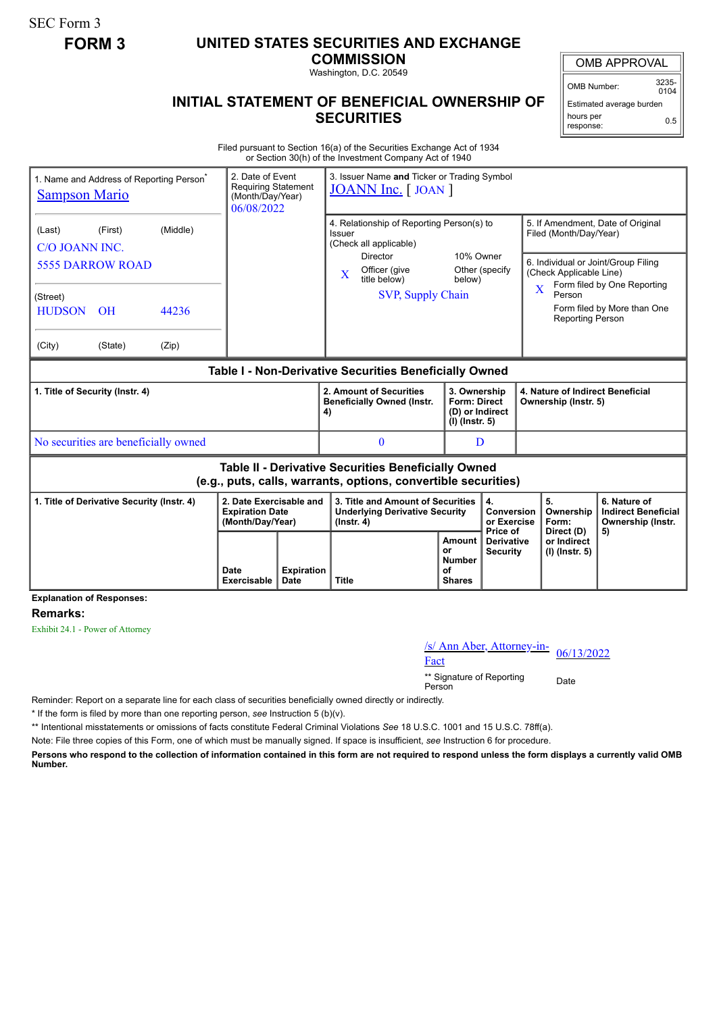SEC Form 3

## **FORM 3 UNITED STATES SECURITIES AND EXCHANGE**

**COMMISSION**

Washington, D.C. 20549

## **INITIAL STATEMENT OF BENEFICIAL OWNERSHIP OF SECURITIES**

OMB APPROVAL

OMB Number: 3235-  $0104$ 

Estimated average burden hours per response: 0.5

Filed pursuant to Section 16(a) of the Securities Exchange Act of 1934 or Section 30(h) of the Investment Company Act of 1940

| 1. Name and Address of Reporting Person <sup>®</sup><br><b>Sampson Mario</b>                                          |                                                                 |                            | 2. Date of Event<br>3. Issuer Name and Ticker or Trading Symbol<br><b>Requiring Statement</b><br><b>JOANN Inc.</b> [JOAN]<br>(Month/Day/Year)<br>06/08/2022 |                                                                    |                                                                                                                                                                           |                                                                            |                                 |                                                          |                                                                                 |                                                                                                                                        |
|-----------------------------------------------------------------------------------------------------------------------|-----------------------------------------------------------------|----------------------------|-------------------------------------------------------------------------------------------------------------------------------------------------------------|--------------------------------------------------------------------|---------------------------------------------------------------------------------------------------------------------------------------------------------------------------|----------------------------------------------------------------------------|---------------------------------|----------------------------------------------------------|---------------------------------------------------------------------------------|----------------------------------------------------------------------------------------------------------------------------------------|
| (Last)<br>C/O JOANN INC.<br>(Street)<br><b>HUDSON</b><br>(City)                                                       | (First)<br><b>5555 DARROW ROAD</b><br>O <sub>H</sub><br>(State) | (Middle)<br>44236<br>(Zip) |                                                                                                                                                             |                                                                    | 4. Relationship of Reporting Person(s) to<br>Issuer<br>(Check all applicable)<br><b>Director</b><br>Officer (give<br>$\bf{X}$<br>title below)<br><b>SVP, Supply Chain</b> | 10% Owner<br>below)                                                        | Other (specify                  | $\overline{\mathbf{X}}$                                  | Filed (Month/Day/Year)<br>(Check Applicable Line)<br>Person<br>Reporting Person | 5. If Amendment, Date of Original<br>6. Individual or Joint/Group Filing<br>Form filed by One Reporting<br>Form filed by More than One |
| Table I - Non-Derivative Securities Beneficially Owned                                                                |                                                                 |                            |                                                                                                                                                             |                                                                    |                                                                                                                                                                           |                                                                            |                                 |                                                          |                                                                                 |                                                                                                                                        |
| 1. Title of Security (Instr. 4)                                                                                       |                                                                 |                            |                                                                                                                                                             | 2. Amount of Securities<br><b>Beneficially Owned (Instr.</b><br>4) |                                                                                                                                                                           | 3. Ownership<br><b>Form: Direct</b><br>(D) or Indirect<br>$(I)$ (lnstr. 5) |                                 | 4. Nature of Indirect Beneficial<br>Ownership (Instr. 5) |                                                                                 |                                                                                                                                        |
| No securities are beneficially owned                                                                                  |                                                                 |                            |                                                                                                                                                             | $\bf{0}$                                                           |                                                                                                                                                                           | D                                                                          |                                 |                                                          |                                                                                 |                                                                                                                                        |
| Table II - Derivative Securities Beneficially Owned<br>(e.g., puts, calls, warrants, options, convertible securities) |                                                                 |                            |                                                                                                                                                             |                                                                    |                                                                                                                                                                           |                                                                            |                                 |                                                          |                                                                                 |                                                                                                                                        |
| 1. Title of Derivative Security (Instr. 4)                                                                            |                                                                 |                            | 2. Date Exercisable and<br><b>Expiration Date</b><br>(Month/Day/Year)                                                                                       |                                                                    | 3. Title and Amount of Securities<br><b>Underlying Derivative Security</b><br>$($ lnstr. 4 $)$                                                                            |                                                                            | 4.<br>Conversion<br>or Exercise |                                                          | 5.<br>Ownership<br>Form:                                                        | 6. Nature of<br><b>Indirect Beneficial</b><br>Ownership (Instr.                                                                        |
|                                                                                                                       |                                                                 | Date<br>Exercisable        | <b>Expiration</b><br>Date                                                                                                                                   | <b>Title</b>                                                       | Amount<br>or<br><b>Number</b><br>Ωf<br><b>Shares</b>                                                                                                                      | Price of<br><b>Derivative</b><br><b>Security</b>                           |                                 | Direct (D)<br>or Indirect<br>(I) (Instr. 5)              | 5)                                                                              |                                                                                                                                        |

### **Explanation of Responses:**

#### **Remarks:**

Exhibit 24.1 - Power of Attorney

# /s/ Ann Aber, Attorney-in-<br>Fact

\*\* Signature of Reporting Person Date

Reminder: Report on a separate line for each class of securities beneficially owned directly or indirectly.

\* If the form is filed by more than one reporting person, *see* Instruction 5 (b)(v).

\*\* Intentional misstatements or omissions of facts constitute Federal Criminal Violations *See* 18 U.S.C. 1001 and 15 U.S.C. 78ff(a).

Note: File three copies of this Form, one of which must be manually signed. If space is insufficient, *see* Instruction 6 for procedure.

**Persons who respond to the collection of information contained in this form are not required to respond unless the form displays a currently valid OMB Number.**